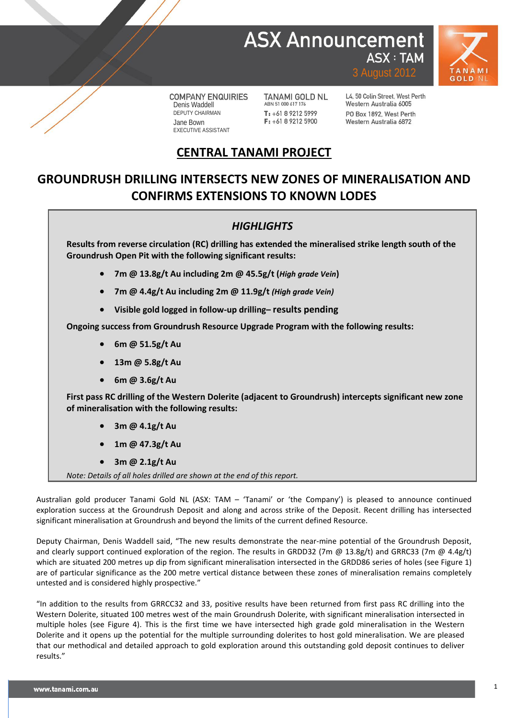### **ASX Announcement ASX: TAM**



**COMPANY ENQUIRIES** Denis Waddell DEPUTY CHAIRMAN Jane Bown EXECUTIVE ASSISTANT

TANAMI GOLD NL ABN 51 000 617 176 T: +61 8 9212 5999  $F: +61892125900$ 

L4, 50 Colin Street, West Perth Western Australia 6005 PO Box 1892, West Perth Western Australia 6872

3 August 2012

### **CENTRAL TANAMI PROJECT**

### **GROUNDRUSH DRILLING INTERSECTS NEW ZONES OF MINERALISATION AND CONFIRMS EXTENSIONS TO KNOWN LODES**

### *HIGHLIGHTS*

**Results from reverse circulation (RC) drilling has extended the mineralised strike length south of the Groundrush Open Pit with the following significant results:**

- **7m @ 13.8g/t Au including 2m @ 45.5g/t (***High grade Vein***)**
- **7m @ 4.4g/t Au including 2m @ 11.9g/t** *(High grade Vein)*
- **Visible gold logged in follow-up drilling– results pending**

**Ongoing success from Groundrush Resource Upgrade Program with the following results:**

- **6m @ 51.5g/t Au**
- **13m @ 5.8g/t Au**
- **6m @ 3.6g/t Au**

**First pass RC drilling of the Western Dolerite (adjacent to Groundrush) intercepts significant new zone of mineralisation with the following results:**

- **3m @ 4.1g/t Au**
- **1m @ 47.3g/t Au**
- **3m @ 2.1g/t Au**

*Note: Details of all holes drilled are shown at the end of this report.*

Australian gold producer Tanami Gold NL (ASX: TAM – 'Tanami' or 'the Company') is pleased to announce continued exploration success at the Groundrush Deposit and along and across strike of the Deposit. Recent drilling has intersected significant mineralisation at Groundrush and beyond the limits of the current defined Resource.

Deputy Chairman, Denis Waddell said, "The new results demonstrate the near-mine potential of the Groundrush Deposit, and clearly support continued exploration of the region. The results in GRDD32 (7m  $@$  13.8g/t) and GRRC33 (7m  $@$  4.4g/t) which are situated 200 metres up dip from significant mineralisation intersected in the GRDD86 series of holes (see Figure 1) are of particular significance as the 200 metre vertical distance between these zones of mineralisation remains completely untested and is considered highly prospective."

"In addition to the results from GRRCC32 and 33, positive results have been returned from first pass RC drilling into the Western Dolerite, situated 100 metres west of the main Groundrush Dolerite, with significant mineralisation intersected in multiple holes (see Figure 4). This is the first time we have intersected high grade gold mineralisation in the Western Dolerite and it opens up the potential for the multiple surrounding dolerites to host gold mineralisation. We are pleased that our methodical and detailed approach to gold exploration around this outstanding gold deposit continues to deliver results."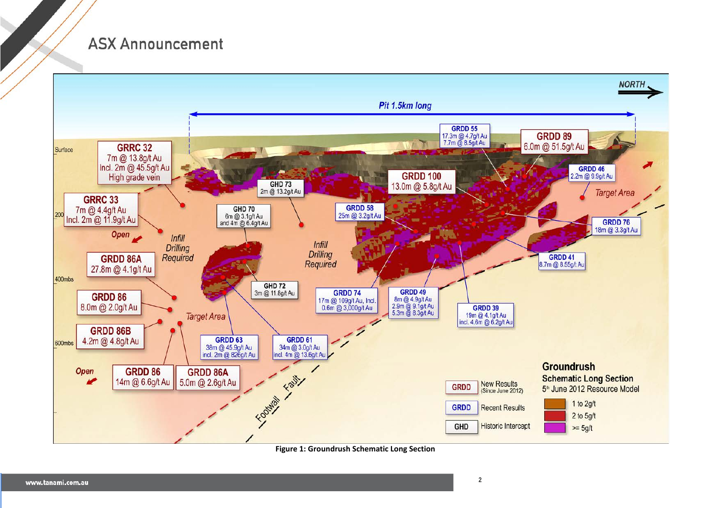

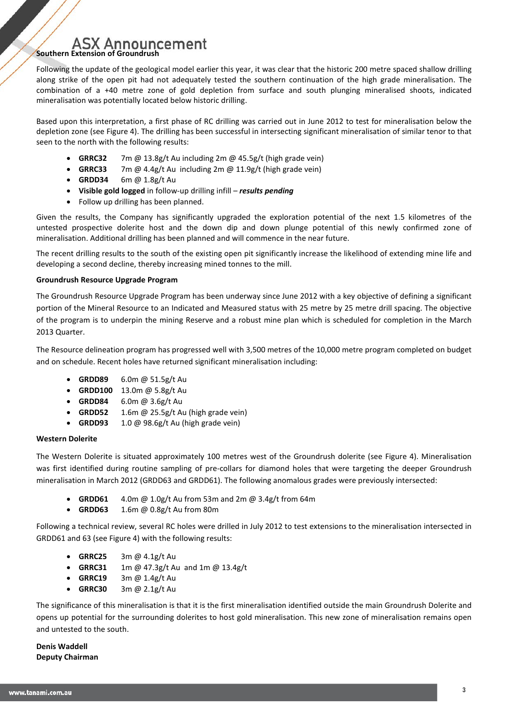### Announcement **Southern Extension of Groundrush**

Following the update of the geological model earlier this year, it was clear that the historic 200 metre spaced shallow drilling along strike of the open pit had not adequately tested the southern continuation of the high grade mineralisation. The combination of a +40 metre zone of gold depletion from surface and south plunging mineralised shoots, indicated mineralisation was potentially located below historic drilling.

Based upon this interpretation, a first phase of RC drilling was carried out in June 2012 to test for mineralisation below the depletion zone (see Figure 4). The drilling has been successful in intersecting significant mineralisation of similar tenor to that seen to the north with the following results:

- **GRRC32** 7m @ 13.8g/t Au including 2m @ 45.5g/t (high grade vein)
- **GRRC33** 7m @ 4.4g/t Au including 2m @ 11.9g/t (high grade vein)
- **GRDD34** 6m @ 1.8g/t Au
- **Visible gold logged** in follow-up drilling infill *results pending*
- Follow up drilling has been planned.

Given the results, the Company has significantly upgraded the exploration potential of the next 1.5 kilometres of the untested prospective dolerite host and the down dip and down plunge potential of this newly confirmed zone of mineralisation. Additional drilling has been planned and will commence in the near future.

The recent drilling results to the south of the existing open pit significantly increase the likelihood of extending mine life and developing a second decline, thereby increasing mined tonnes to the mill.

### **Groundrush Resource Upgrade Program**

The Groundrush Resource Upgrade Program has been underway since June 2012 with a key objective of defining a significant portion of the Mineral Resource to an Indicated and Measured status with 25 metre by 25 metre drill spacing. The objective of the program is to underpin the mining Reserve and a robust mine plan which is scheduled for completion in the March 2013 Quarter.

The Resource delineation program has progressed well with 3,500 metres of the 10,000 metre program completed on budget and on schedule. Recent holes have returned significant mineralisation including:

- **GRDD89** 6.0m @ 51.5g/t Au
- **GRDD100** 13.0m @ 5.8g/t Au
- **GRDD84** 6.0m @ 3.6g/t Au
- **GRDD52** 1.6m @ 25.5g/t Au (high grade vein)
- **GRDD93** 1.0 @ 98.6g/t Au (high grade vein)

### **Western Dolerite**

The Western Dolerite is situated approximately 100 metres west of the Groundrush dolerite (see Figure 4). Mineralisation was first identified during routine sampling of pre-collars for diamond holes that were targeting the deeper Groundrush mineralisation in March 2012 (GRDD63 and GRDD61). The following anomalous grades were previously intersected:

- **GRDD61** 4.0m @ 1.0g/t Au from 53m and 2m @ 3.4g/t from 64m
- **GRDD63** 1.6m @ 0.8g/t Au from 80m

Following a technical review, several RC holes were drilled in July 2012 to test extensions to the mineralisation intersected in GRDD61 and 63 (see Figure 4) with the following results:

- **GRRC25** 3m @ 4.1g/t Au
- **GRRC31** 1m @ 47.3g/t Au and 1m @ 13.4g/t
- **GRRC19** 3m @ 1.4g/t Au
- **GRRC30** 3m @ 2.1g/t Au

The significance of this mineralisation is that it is the first mineralisation identified outside the main Groundrush Dolerite and opens up potential for the surrounding dolerites to host gold mineralisation. This new zone of mineralisation remains open and untested to the south.

**Denis Waddell Deputy Chairman**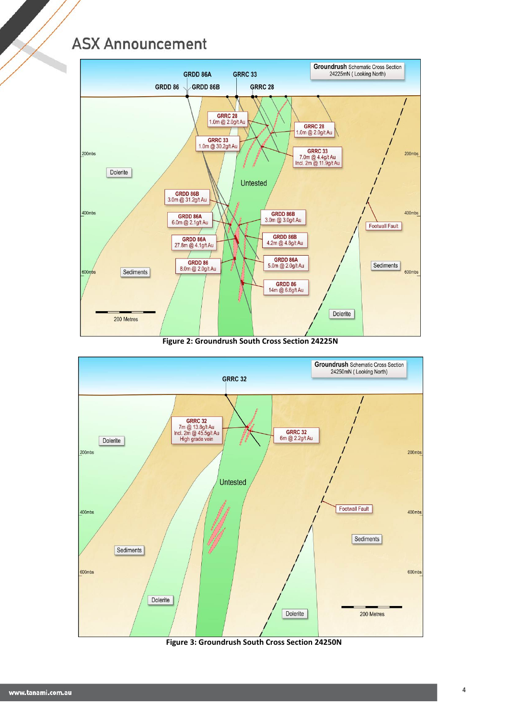

**Figure 2: Groundrush South Cross Section 24225N**



**Figure 3: Groundrush South Cross Section 24250N**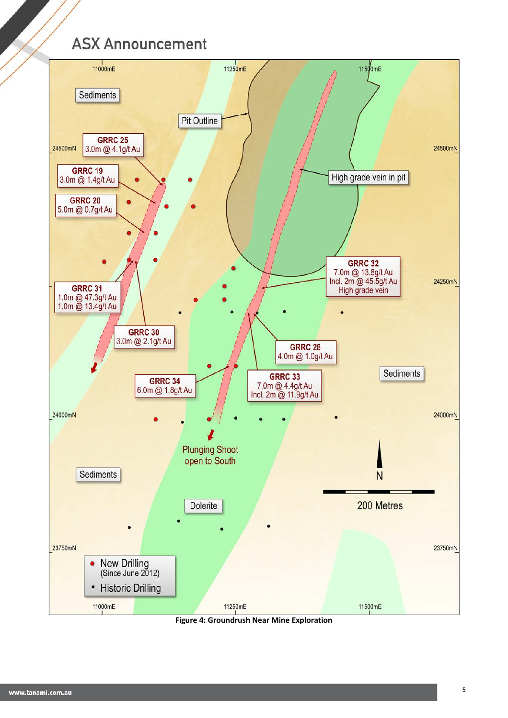

**Figure 4: Groundrush Near Mine Exploration**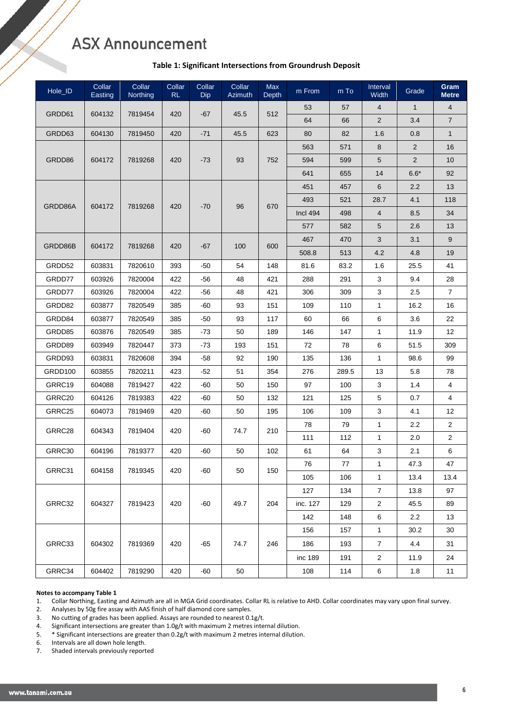### **Table 1: Significant Intersections from Groundrush Deposit**

| Hole_ID | Collar<br>Easting | Collar<br>Northing | Collar<br><b>RL</b> | Collar<br>Dip | Collar<br>Azimuth | Max<br><b>Depth</b> | m From          | m To  | Interval<br>Width | Grade          | Gram<br><b>Metre</b> |
|---------|-------------------|--------------------|---------------------|---------------|-------------------|---------------------|-----------------|-------|-------------------|----------------|----------------------|
| GRDD61  | 604132            | 7819454            | 420                 | $-67$         | 45.5              | 512                 | 53              | 57    | 4                 | $\mathbf{1}$   | $\overline{4}$       |
|         |                   |                    |                     |               |                   |                     | 64              | 66    | $\overline{c}$    | 3.4            | $\overline{7}$       |
| GRDD63  | 604130            | 7819450            | 420                 | $-71$         | 45.5              | 623                 | 80              | 82    | 1.6               | 0.8            | $\mathbf{1}$         |
|         | 604172            | 7819268            | 420                 | -73           | 93                | 752                 | 563             | 571   | 8                 | $\overline{2}$ | 16                   |
| GRDD86  |                   |                    |                     |               |                   |                     | 594             | 599   | 5                 | $\overline{2}$ | 10                   |
|         |                   |                    |                     |               |                   |                     | 641             | 655   | 14                | $6.6*$         | 92                   |
|         | 604172            | 7819268            | 420                 | -70           | 96                | 670                 | 451             | 457   | 6                 | 2.2            | 13                   |
| GRDD86A |                   |                    |                     |               |                   |                     | 493             | 521   | 28.7              | 4.1            | 118                  |
|         |                   |                    |                     |               |                   |                     | <b>Incl 494</b> | 498   | 4                 | 8.5            | 34                   |
|         |                   |                    |                     |               |                   |                     | 577             | 582   | 5                 | 2.6            | 13                   |
| GRDD86B | 604172            | 7819268            | 420                 | -67           | 100               | 600                 | 467             | 470   | 3                 | 3.1            | 9                    |
|         |                   |                    |                     |               |                   |                     | 508.8           | 513   | 4.2               | 4.8            | 19                   |
| GRDD52  | 603831            | 7820610            | 393                 | -50           | 54                | 148                 | 81.6            | 83.2  | 1.6               | 25.5           | 41                   |
| GRDD77  | 603926            | 7820004            | 422                 | $-56$         | 48                | 421                 | 288             | 291   | 3                 | 9.4            | 28                   |
| GRDD77  | 603926            | 7820004            | 422                 | -56           | 48                | 421                 | 306             | 309   | 3                 | 2.5            | $\overline{7}$       |
| GRDD82  | 603877            | 7820549            | 385                 | -60           | 93                | 151                 | 109             | 110   | 1                 | 16.2           | 16                   |
| GRDD84  | 603877            | 7820549            | 385                 | -50           | 93                | 117                 | 60              | 66    | 6                 | 3.6            | 22                   |
| GRDD85  | 603876            | 7820549            | 385                 | -73           | 50                | 189                 | 146             | 147   | 1                 | 11.9           | 12                   |
| GRDD89  | 603949            | 7820447            | 373                 | -73           | 193               | 151                 | 72              | 78    | 6                 | 51.5           | 309                  |
| GRDD93  | 603831            | 7820608            | 394                 | $-58$         | 92                | 190                 | 135             | 136   | $\mathbf{1}$      | 98.6           | 99                   |
| GRDD100 | 603855            | 7820211            | 423                 | -52           | 51                | 354                 | 276             | 289.5 | 13                | 5.8            | 78                   |
| GRRC19  | 604088            | 7819427            | 422                 | -60           | 50                | 150                 | 97              | 100   | 3                 | 1.4            | 4                    |
| GRRC20  | 604126            | 7819383            | 422                 | $-60$         | 50                | 132                 | 121             | 125   | 5                 | 0.7            | 4                    |
| GRRC25  | 604073            | 7819469            | 420                 | $-60$         | 50                | 195                 | 106             | 109   | 3                 | 4.1            | 12                   |
| GRRC28  | 604343            | 7819404            | 420                 | -60           | 74.7              |                     | 78              | 79    | 1                 | 2.2            | $\overline{2}$       |
|         |                   |                    |                     |               |                   | 210                 | 111             | 112   | 1                 | 2.0            | 2                    |
| GRRC30  | 604196            | 7819377            | 420                 | -60           | 50                | 102                 | 61              | 64    | 3                 | 2.1            | $\,6$                |
| GRRC31  | 604158            | 7819345            | 420                 | -60           | 50                | 150                 | 76              | 77    | 1                 | 47.3           | 47                   |
|         |                   |                    |                     |               |                   |                     | 105             | 106   | 1                 | 13.4           | 13.4                 |
| GRRC32  | 604327            | 7819423            | 420                 | -60           | 49.7              | 204                 | 127             | 134   | $\boldsymbol{7}$  | 13.8           | 97                   |
|         |                   |                    |                     |               |                   |                     | inc. 127        | 129   | $\overline{c}$    | 45.5           | 89                   |
|         |                   |                    |                     |               |                   |                     | 142             | 148   | 6                 | 2.2            | 13                   |
| GRRC33  | 604302            | 7819369            | 420                 | -65           | 74.7              | 246                 | 156             | 157   | $\mathbf{1}$      | 30.2           | 30                   |
|         |                   |                    |                     |               |                   |                     | 186             | 193   | $\overline{7}$    | 4.4            | 31                   |
|         |                   |                    |                     |               |                   |                     | inc 189         | 191   | $\overline{c}$    | 11.9           | 24                   |
| GRRC34  | 604402            | 7819290            | 420                 | $-60$         | 50                |                     | 108             | 114   | 6                 | 1.8            | 11                   |

#### **Notes to accompany Table 1**

1. Collar Northing, Easting and Azimuth are all in MGA Grid coordinates. Collar RL is relative to AHD. Collar coordinates may vary upon final survey.

2. Analyses by 50g fire assay with AAS finish of half diamond core samples.

3. No cutting of grades has been applied. Assays are rounded to nearest 0.1g/t.

4. Significant intersections are greater than  $1.0$ g/t with maximum 2 metres internal dilution.<br>5. \* Significant intersections are greater than  $0.2$ g/t with maximum 2 metres internal dilution 5. \* Significant intersections are greater than 0.2g/t with maximum 2 metres internal dilution.

6. Intervals are all down hole length.<br>7. Shaded intervals previously report

Shaded intervals previously reported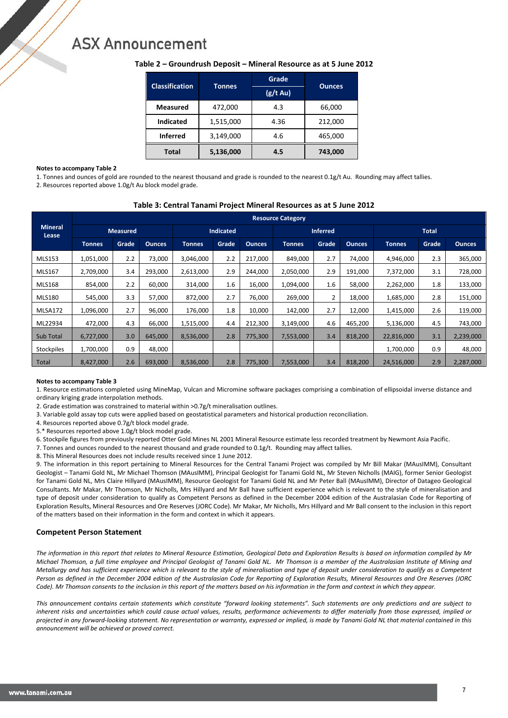#### **Table 2 – Groundrush Deposit – Mineral Resource as at 5 June 2012**

| <b>Classification</b> | <b>Tonnes</b> | Grade<br>$(g/t \, Au)$ | <b>Ounces</b> |  |  |
|-----------------------|---------------|------------------------|---------------|--|--|
| Measured              | 472,000       | 4.3                    | 66,000        |  |  |
| <b>Indicated</b>      | 1,515,000     | 4.36                   | 212,000       |  |  |
| <b>Inferred</b>       | 3,149,000     | 4.6                    | 465,000       |  |  |
| <b>Total</b>          | 5,136,000     | 4.5                    | 743.000       |  |  |

#### **Notes to accompany Table 2**

1. Tonnes and ounces of gold are rounded to the nearest thousand and grade is rounded to the nearest 0.1g/t Au. Rounding may affect tallies.

2. Resources reported above 1.0g/t Au block model grade.

#### **Table 3: Central Tanami Project Mineral Resources as at 5 June 2012**

| <b>Mineral</b><br>Lease | <b>Resource Category</b> |       |               |                  |       |               |                 |       |               |              |       |               |
|-------------------------|--------------------------|-------|---------------|------------------|-------|---------------|-----------------|-------|---------------|--------------|-------|---------------|
|                         | <b>Measured</b>          |       |               | <b>Indicated</b> |       |               | <b>Inferred</b> |       |               | <b>Total</b> |       |               |
|                         | <b>Tonnes</b>            | Grade | <b>Ounces</b> | <b>Tonnes</b>    | Grade | <b>Ounces</b> | <b>Tonnes</b>   | Grade | <b>Ounces</b> | Tonnes       | Grade | <b>Ounces</b> |
| <b>MLS153</b>           | 1,051,000                | 2.2   | 73,000        | 3,046,000        | 2.2   | 217,000       | 849,000         | 2.7   | 74,000        | 4,946,000    | 2.3   | 365,000       |
| MLS167                  | 2,709,000                | 3.4   | 293,000       | 2,613,000        | 2.9   | 244,000       | 2,050,000       | 2.9   | 191,000       | 7,372,000    | 3.1   | 728,000       |
| <b>MLS168</b>           | 854,000                  | 2.2   | 60,000        | 314,000          | 1.6   | 16,000        | 1,094,000       | 1.6   | 58,000        | 2,262,000    | 1.8   | 133,000       |
| <b>MLS180</b>           | 545,000                  | 3.3   | 57,000        | 872,000          | 2.7   | 76,000        | 269,000         | 2     | 18,000        | 1,685,000    | 2.8   | 151,000       |
| MLSA172                 | 1,096,000                | 2.7   | 96,000        | 176,000          | 1.8   | 10,000        | 142,000         | 2.7   | 12,000        | 1,415,000    | 2.6   | 119,000       |
| ML22934                 | 472,000                  | 4.3   | 66,000        | 1,515,000        | 4.4   | 212,300       | 3,149,000       | 4.6   | 465,200       | 5,136,000    | 4.5   | 743,000       |
| Sub Total               | 6,727,000                | 3.0   | 645,000       | 8,536,000        | 2.8   | 775,300       | 7,553,000       | 3.4   | 818,200       | 22,816,000   | 3.1   | 2,239,000     |
| <b>Stockpiles</b>       | 1,700,000                | 0.9   | 48,000        |                  |       |               |                 |       |               | 1,700,000    | 0.9   | 48,000        |
| Total                   | 8,427,000                | 2.6   | 693,000       | 8,536,000        | 2.8   | 775,300       | 7,553,000       | 3.4   | 818,200       | 24,516,000   | 2.9   | 2,287,000     |

#### **Notes to accompany Table 3**

1. Resource estimations completed using MineMap, Vulcan and Micromine software packages comprising a combination of ellipsoidal inverse distance and ordinary kriging grade interpolation methods.

2. Grade estimation was constrained to material within >0.7g/t mineralisation outlines.

3. Variable gold assay top cuts were applied based on geostatistical parameters and historical production reconciliation.

4. Resources reported above 0.7g/t block model grade.

5.\* Resources reported above 1.0g/t block model grade.

6. Stockpile figures from previously reported Otter Gold Mines NL 2001 Mineral Resource estimate less recorded treatment by Newmont Asia Pacific.

7. Tonnes and ounces rounded to the nearest thousand and grade rounded to 0.1g/t. Rounding may affect tallies.

8. This Mineral Resources does not include results received since 1 June 2012.

9. The information in this report pertaining to Mineral Resources for the Central Tanami Project was compiled by Mr Bill Makar (MAusIMM), Consultant Geologist – Tanami Gold NL, Mr Michael Thomson (MAusIMM), Principal Geologist for Tanami Gold NL, Mr Steven Nicholls (MAIG), former Senior Geologist for Tanami Gold NL, Mrs Claire Hillyard (MAusIMM), Resource Geologist for Tanami Gold NL and Mr Peter Ball (MAusIMM), Director of Datageo Geological Consultants. Mr Makar, Mr Thomson, Mr Nicholls, Mrs Hillyard and Mr Ball have sufficient experience which is relevant to the style of mineralisation and type of deposit under consideration to qualify as Competent Persons as defined in the December 2004 edition of the Australasian Code for Reporting of Exploration Results, Mineral Resources and Ore Reserves (JORC Code). Mr Makar, Mr Nicholls, Mrs Hillyard and Mr Ball consent to the inclusion in this report of the matters based on their information in the form and context in which it appears.

#### **Competent Person Statement**

*The information in this report that relates to Mineral Resource Estimation, Geological Data and Exploration Results is based on information compiled by Mr Michael Thomson, a full time employee and Principal Geologist of Tanami Gold NL. Mr Thomson is a member of the Australasian Institute of Mining and Metallurgy and has sufficient experience which is relevant to the style of mineralisation and type of deposit under consideration to qualify as a Competent Person as defined in the December 2004 edition of the Australasian Code for Reporting of Exploration Results, Mineral Resources and Ore Reserves (JORC Code). Mr Thomson consents to the inclusion in this report of the matters based on his information in the form and context in which they appear.*

*This announcement contains certain statements which constitute "forward looking statements". Such statements are only predictions and are subject to inherent risks and uncertainties which could cause actual values, results, performance achievements to differ materially from those expressed, implied or projected in any forward-looking statement. No representation or warranty, expressed or implied, is made by Tanami Gold NL that material contained in this announcement will be achieved or proved correct.*